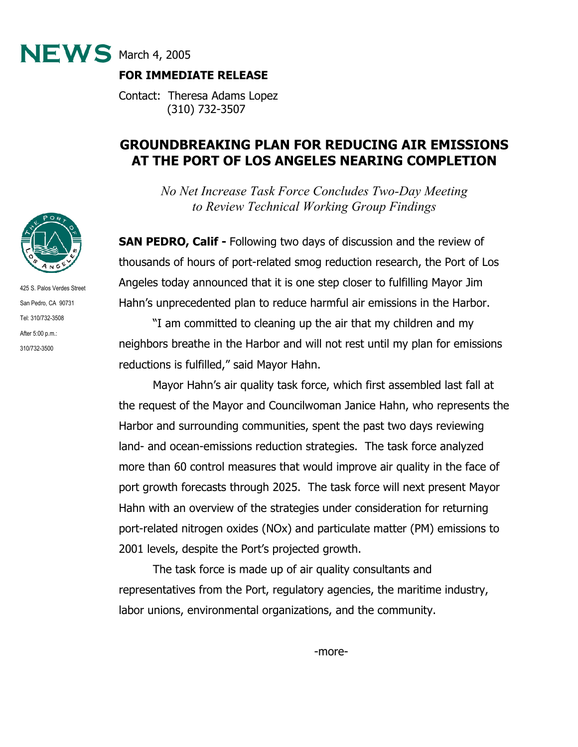

# **FOR IMMEDIATE RELEASE**

Contact: Theresa Adams Lopez (310) 732-3507

# **GROUNDBREAKING PLAN FOR REDUCING AIR EMISSIONS AT THE PORT OF LOS ANGELES NEARING COMPLETION**

*No Net Increase Task Force Concludes Two-Day Meeting to Review Technical Working Group Findings* 

**SAN PEDRO, Calif - Following two days of discussion and the review of** thousands of hours of port-related smog reduction research, the Port of Los Angeles today announced that it is one step closer to fulfilling Mayor Jim Hahn's unprecedented plan to reduce harmful air emissions in the Harbor.

"I am committed to cleaning up the air that my children and my neighbors breathe in the Harbor and will not rest until my plan for emissions reductions is fulfilled," said Mayor Hahn.

Mayor Hahn's air quality task force, which first assembled last fall at the request of the Mayor and Councilwoman Janice Hahn, who represents the Harbor and surrounding communities, spent the past two days reviewing land- and ocean-emissions reduction strategies. The task force analyzed more than 60 control measures that would improve air quality in the face of port growth forecasts through 2025. The task force will next present Mayor Hahn with an overview of the strategies under consideration for returning port-related nitrogen oxides (NOx) and particulate matter (PM) emissions to 2001 levels, despite the Port's projected growth.

The task force is made up of air quality consultants and representatives from the Port, regulatory agencies, the maritime industry, labor unions, environmental organizations, and the community.



425 S. Palos Verdes Street San Pedro, CA 90731 Tel: 310/732-3508 After 5:00 p.m.: 310/732-3500